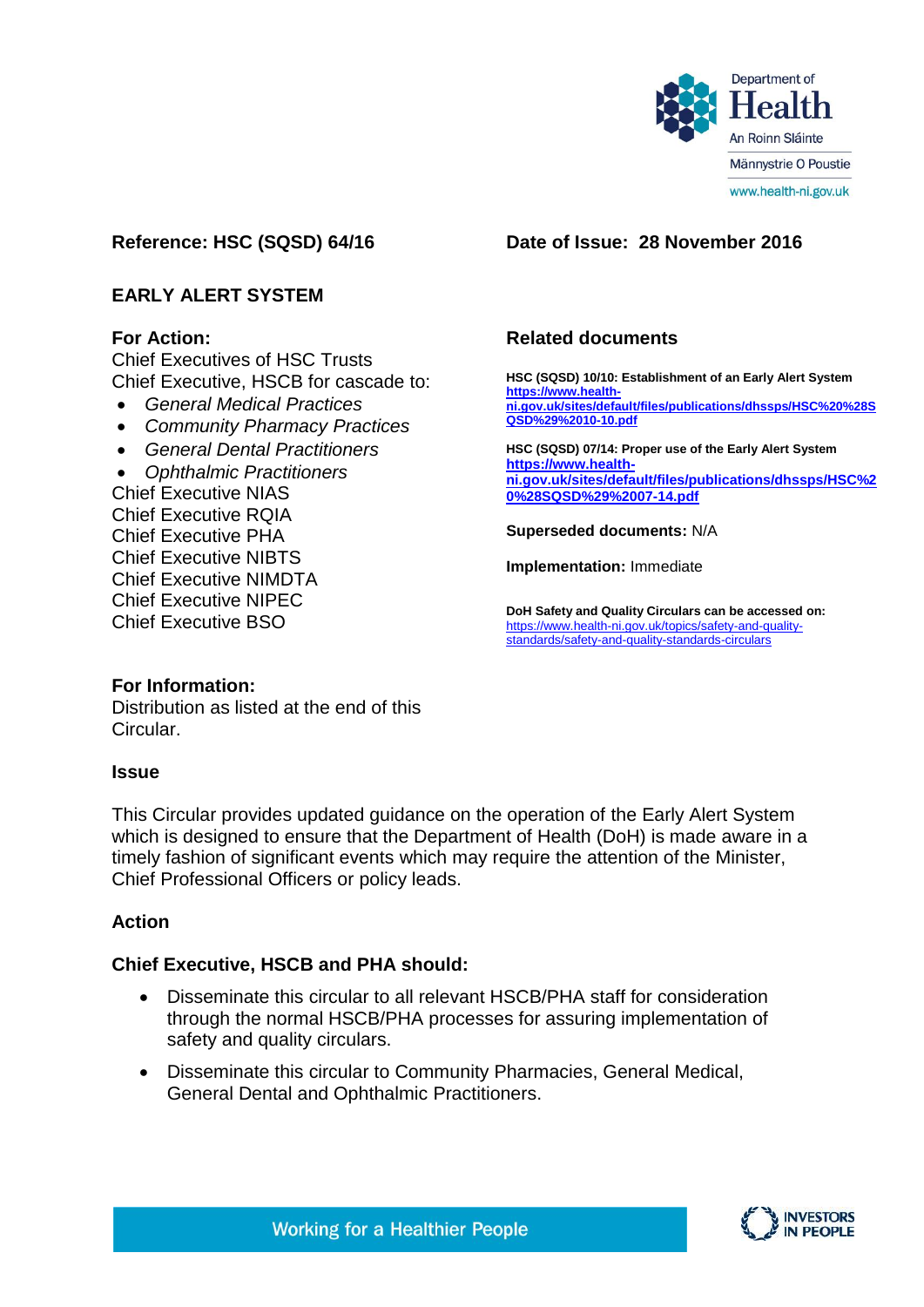

# **Reference: HSC (SQSD) 64/16 Date of Issue: 28 November 2016**

# **EARLY ALERT SYSTEM**

## **For Action:**

Chief Executives of HSC Trusts Chief Executive, HSCB for cascade to:

- *General Medical Practices*
- *Community Pharmacy Practices*
- *General Dental Practitioners*

 *Ophthalmic Practitioners* Chief Executive NIAS Chief Executive RQIA Chief Executive PHA Chief Executive NIBTS Chief Executive NIMDTA Chief Executive NIPEC Chief Executive BSO

# **Related documents**

**HSC (SQSD) 10/10: Establishment of an Early Alert System [https://www.health](https://www.health-ni.gov.uk/sites/default/files/publications/dhssps/HSC%20%28SQSD%29%2010-10.pdf)[ni.gov.uk/sites/default/files/publications/dhssps/HSC%20%28S](https://www.health-ni.gov.uk/sites/default/files/publications/dhssps/HSC%20%28SQSD%29%2010-10.pdf) [QSD%29%2010-10.pdf](https://www.health-ni.gov.uk/sites/default/files/publications/dhssps/HSC%20%28SQSD%29%2010-10.pdf) HSC (SQSD) 07/14: Proper use of the Early Alert System https://www.healthni.gov.uk/sites/default/files/publications/dhssps/HSC%2 0%28SQSD%29%2007-14.pdf**

**Superseded documents:** N/A

**Implementation:** Immediate

**DoH Safety and Quality Circulars can be accessed on:**  [https://www.health-ni.gov.uk/topics/safety-and-quality](https://www.health-ni.gov.uk/topics/safety-and-quality-standards/safety-and-quality-standards-circulars)[standards/safety-and-quality-standards-circulars](https://www.health-ni.gov.uk/topics/safety-and-quality-standards/safety-and-quality-standards-circulars)

#### **For Information:**

Distribution as listed at the end of this Circular.

#### **Issue**

This Circular provides updated guidance on the operation of the Early Alert System which is designed to ensure that the Department of Health (DoH) is made aware in a timely fashion of significant events which may require the attention of the Minister. Chief Professional Officers or policy leads.

## **Action**

## **Chief Executive, HSCB and PHA should:**

- Disseminate this circular to all relevant HSCB/PHA staff for consideration through the normal HSCB/PHA processes for assuring implementation of safety and quality circulars.
- Disseminate this circular to Community Pharmacies, General Medical, General Dental and Ophthalmic Practitioners.

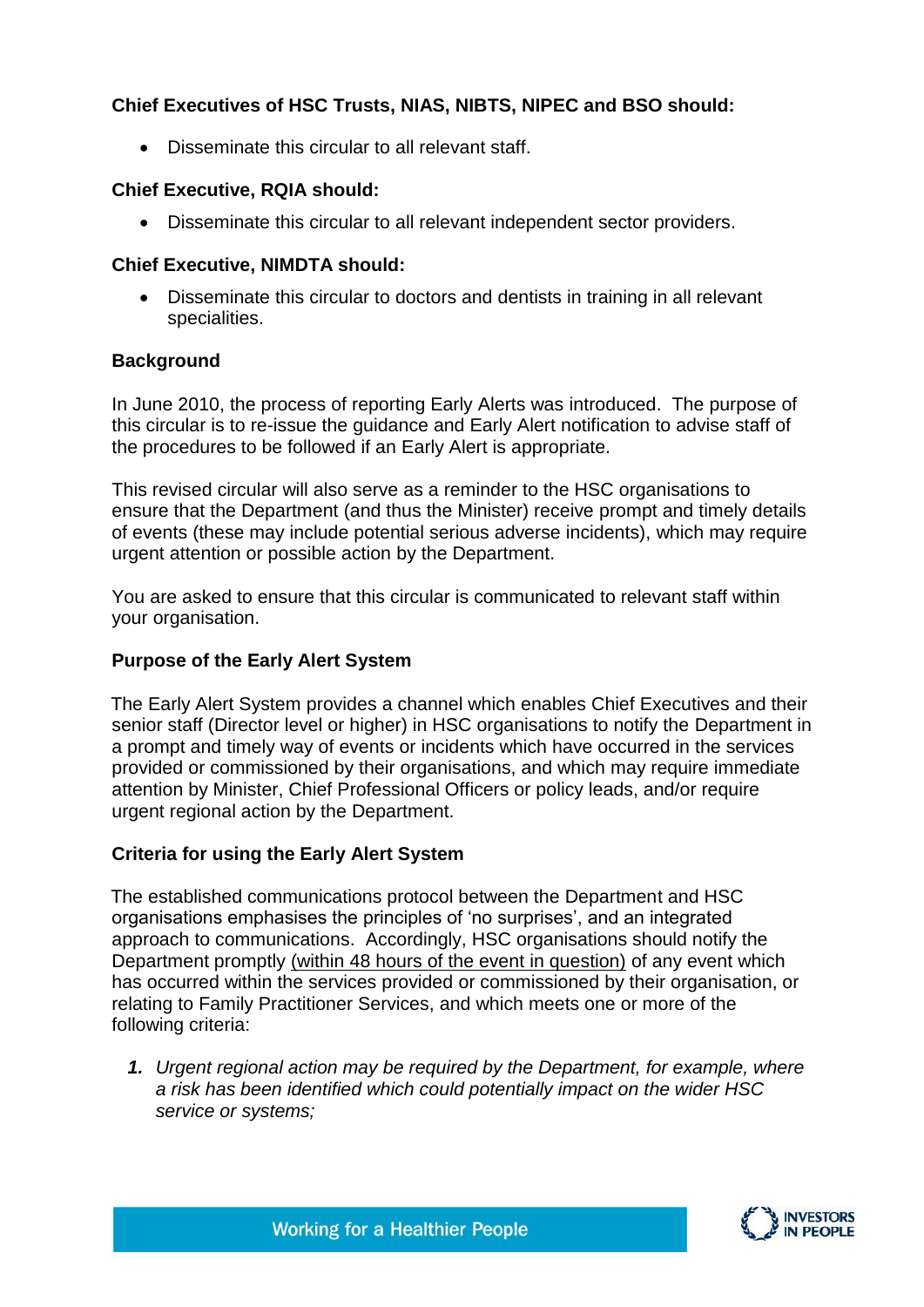# **Chief Executives of HSC Trusts, NIAS, NIBTS, NIPEC and BSO should:**

Disseminate this circular to all relevant staff.

## **Chief Executive, RQIA should:**

Disseminate this circular to all relevant independent sector providers.

## **Chief Executive, NIMDTA should:**

 Disseminate this circular to doctors and dentists in training in all relevant specialities.

## **Background**

In June 2010, the process of reporting Early Alerts was introduced. The purpose of this circular is to re-issue the guidance and Early Alert notification to advise staff of the procedures to be followed if an Early Alert is appropriate.

This revised circular will also serve as a reminder to the HSC organisations to ensure that the Department (and thus the Minister) receive prompt and timely details of events (these may include potential serious adverse incidents), which may require urgent attention or possible action by the Department.

You are asked to ensure that this circular is communicated to relevant staff within your organisation.

# **Purpose of the Early Alert System**

The Early Alert System provides a channel which enables Chief Executives and their senior staff (Director level or higher) in HSC organisations to notify the Department in a prompt and timely way of events or incidents which have occurred in the services provided or commissioned by their organisations, and which may require immediate attention by Minister, Chief Professional Officers or policy leads, and/or require urgent regional action by the Department.

## **Criteria for using the Early Alert System**

The established communications protocol between the Department and HSC organisations emphasises the principles of 'no surprises', and an integrated approach to communications. Accordingly, HSC organisations should notify the Department promptly (within 48 hours of the event in question) of any event which has occurred within the services provided or commissioned by their organisation, or relating to Family Practitioner Services, and which meets one or more of the following criteria:

*1. Urgent regional action may be required by the Department, for example, where a risk has been identified which could potentially impact on the wider HSC service or systems;*

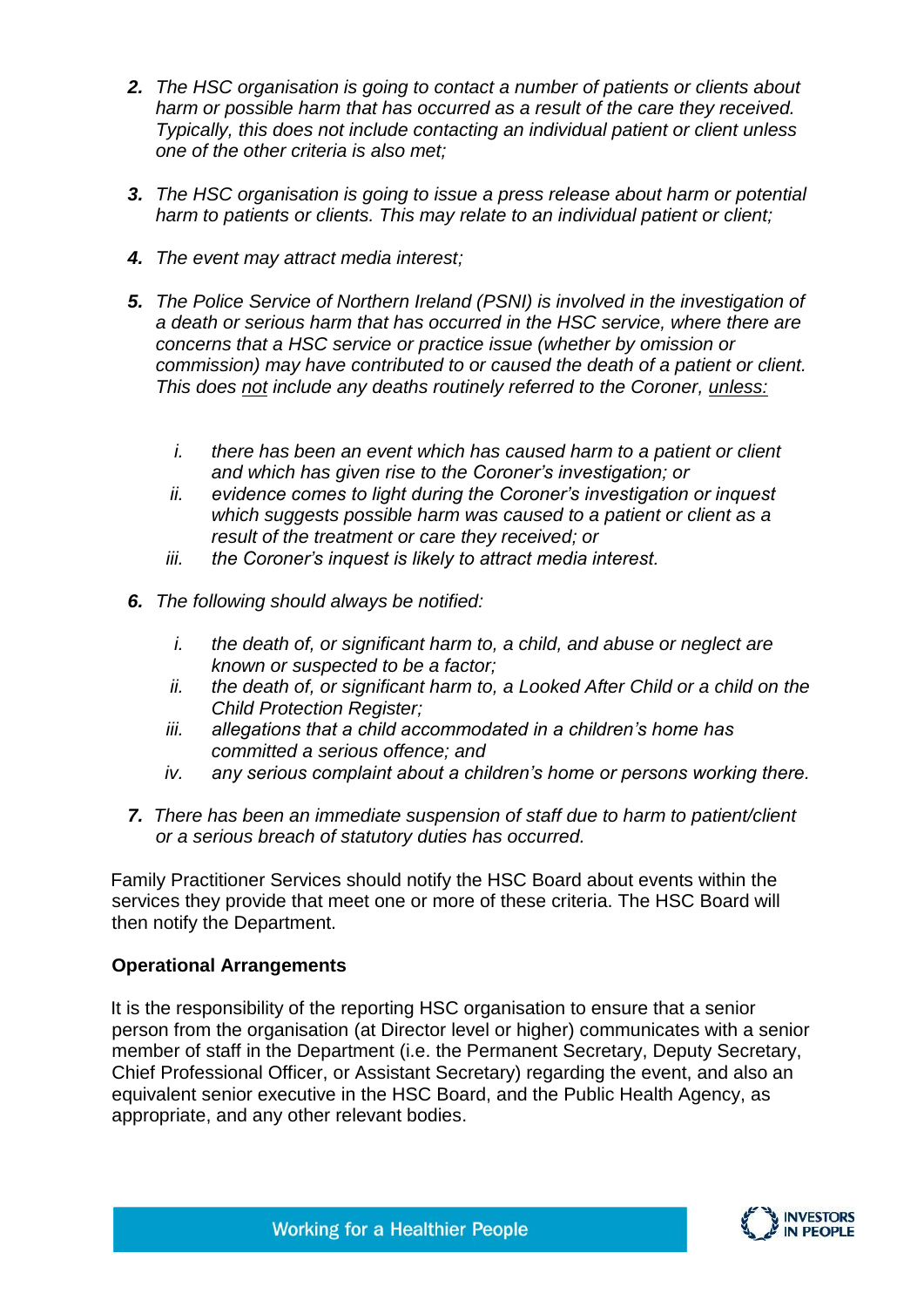- *2. The HSC organisation is going to contact a number of patients or clients about harm or possible harm that has occurred as a result of the care they received. Typically, this does not include contacting an individual patient or client unless one of the other criteria is also met;*
- *3. The HSC organisation is going to issue a press release about harm or potential harm to patients or clients. This may relate to an individual patient or client;*
- *4. The event may attract media interest;*
- *5. The Police Service of Northern Ireland (PSNI) is involved in the investigation of a death or serious harm that has occurred in the HSC service, where there are concerns that a HSC service or practice issue (whether by omission or commission) may have contributed to or caused the death of a patient or client. This does not include any deaths routinely referred to the Coroner, unless:*
	- *i. there has been an event which has caused harm to a patient or client and which has given rise to the Coroner's investigation; or*
	- *ii. evidence comes to light during the Coroner's investigation or inquest which suggests possible harm was caused to a patient or client as a result of the treatment or care they received; or*
	- *iii. the Coroner's inquest is likely to attract media interest.*
- *6. The following should always be notified:*
	- *i. the death of, or significant harm to, a child, and abuse or neglect are known or suspected to be a factor;*
	- *ii. the death of, or significant harm to, a Looked After Child or a child on the Child Protection Register;*
	- *iii. allegations that a child accommodated in a children's home has committed a serious offence; and*
	- *iv. any serious complaint about a children's home or persons working there.*
- *7. There has been an immediate suspension of staff due to harm to patient/client or a serious breach of statutory duties has occurred.*

Family Practitioner Services should notify the HSC Board about events within the services they provide that meet one or more of these criteria. The HSC Board will then notify the Department.

# **Operational Arrangements**

It is the responsibility of the reporting HSC organisation to ensure that a senior person from the organisation (at Director level or higher) communicates with a senior member of staff in the Department (i.e. the Permanent Secretary, Deputy Secretary, Chief Professional Officer, or Assistant Secretary) regarding the event, and also an equivalent senior executive in the HSC Board, and the Public Health Agency, as appropriate, and any other relevant bodies.

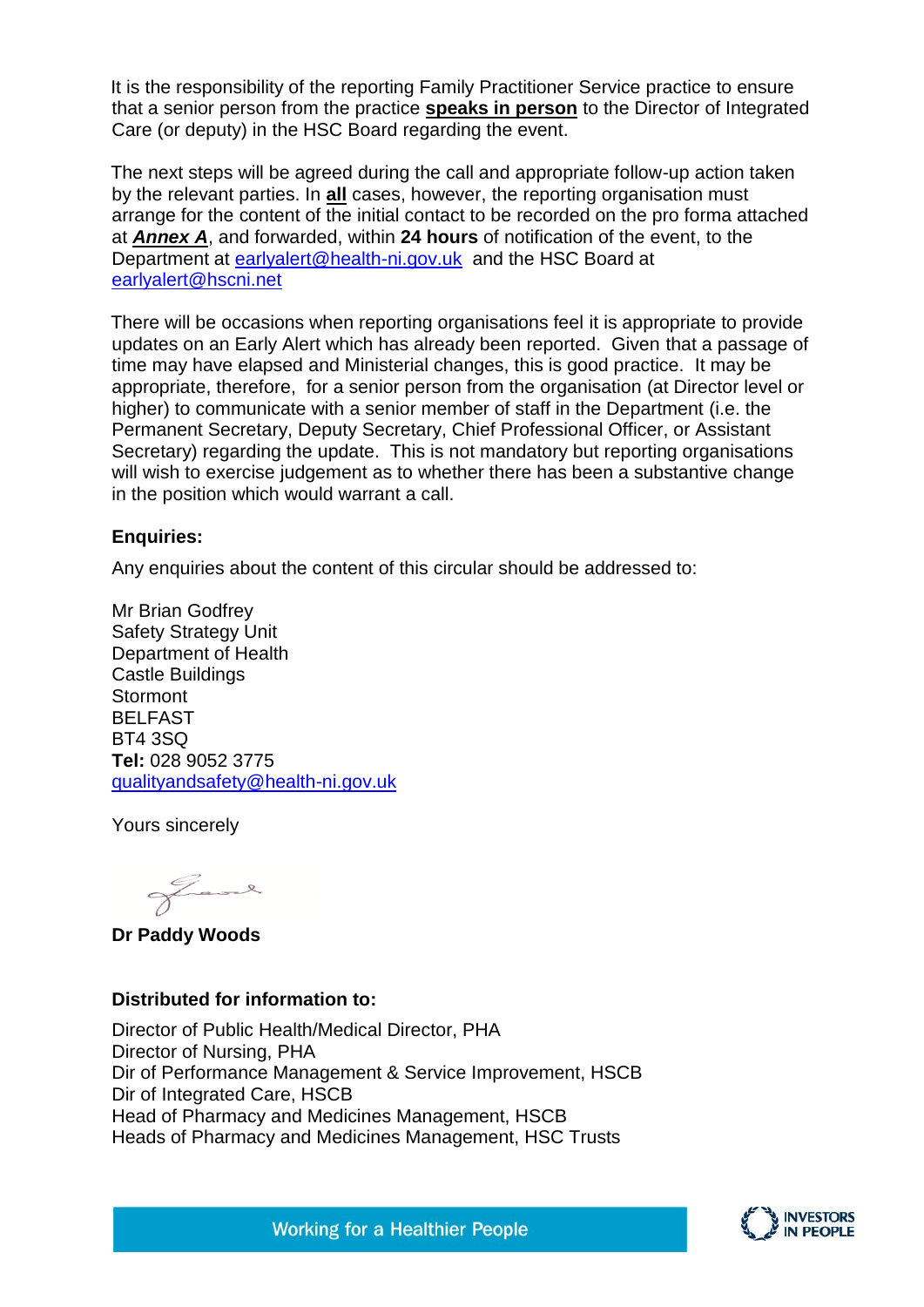It is the responsibility of the reporting Family Practitioner Service practice to ensure that a senior person from the practice **speaks in person** to the Director of Integrated Care (or deputy) in the HSC Board regarding the event.

The next steps will be agreed during the call and appropriate follow-up action taken by the relevant parties. In **all** cases, however, the reporting organisation must arrange for the content of the initial contact to be recorded on the pro forma attached at *Annex A*, and forwarded, within **24 hours** of notification of the event, to the Department at [earlyalert@health-ni.gov.uk](mailto:earlyalert@health-ni.gov.uk) and the HSC Board at [earlyalert@hscni.net](mailto:earlyalert@hscni.net)

There will be occasions when reporting organisations feel it is appropriate to provide updates on an Early Alert which has already been reported. Given that a passage of time may have elapsed and Ministerial changes, this is good practice. It may be appropriate, therefore, for a senior person from the organisation (at Director level or higher) to communicate with a senior member of staff in the Department (i.e. the Permanent Secretary, Deputy Secretary, Chief Professional Officer, or Assistant Secretary) regarding the update. This is not mandatory but reporting organisations will wish to exercise judgement as to whether there has been a substantive change in the position which would warrant a call.

#### **Enquiries:**

Any enquiries about the content of this circular should be addressed to:

Mr Brian Godfrey Safety Strategy Unit Department of Health Castle Buildings **Stormont** BELFAST BT4 3SQ **Tel:** 028 9052 3775 [qualityandsafety@health-ni.gov.uk](mailto:qualityandsafety@health-ni.gov.uk)

Yours sincerely

fame

**Dr Paddy Woods** 

## **Distributed for information to:**

Director of Public Health/Medical Director, PHA Director of Nursing, PHA Dir of Performance Management & Service Improvement, HSCB Dir of Integrated Care, HSCB Head of Pharmacy and Medicines Management, HSCB Heads of Pharmacy and Medicines Management, HSC Trusts

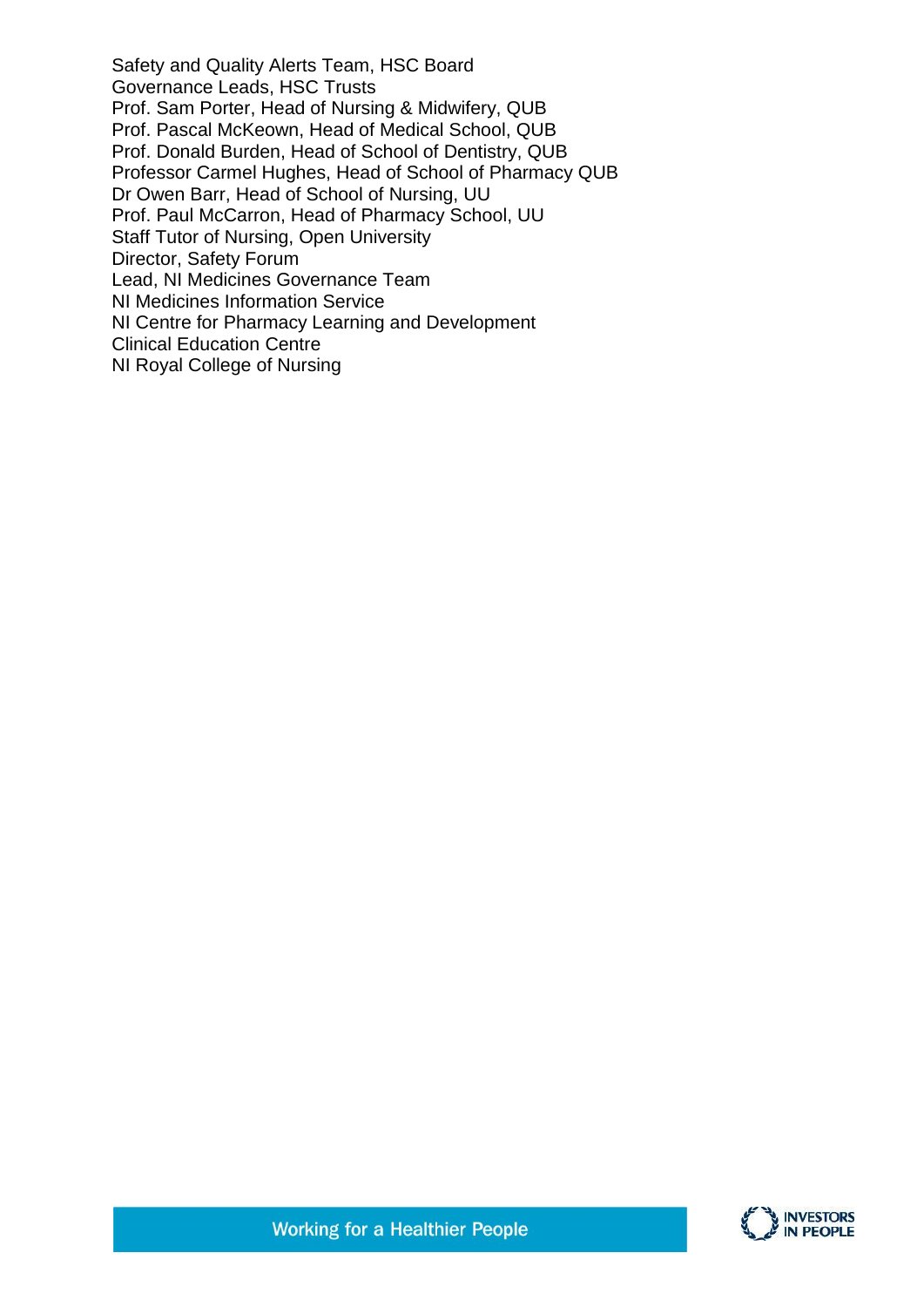Safety and Quality Alerts Team, HSC Board Governance Leads, HSC Trusts Prof. Sam Porter, Head of Nursing & Midwifery, QUB Prof. Pascal McKeown, Head of Medical School, QUB Prof. Donald Burden, Head of School of Dentistry, QUB Professor Carmel Hughes, Head of School of Pharmacy QUB Dr Owen Barr, Head of School of Nursing, UU Prof. Paul McCarron, Head of Pharmacy School, UU Staff Tutor of Nursing, Open University Director, Safety Forum Lead, NI Medicines Governance Team NI Medicines Information Service NI Centre for Pharmacy Learning and Development Clinical Education Centre NI Royal College of Nursing